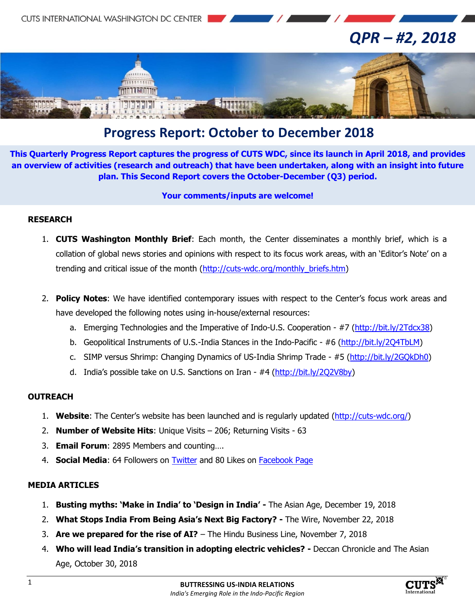

# **Progress Report: October to December 2018**

**This Quarterly Progress Report captures the progress of CUTS WDC, since its launch in April 2018, and provides an overview of activities (research and outreach) that have been undertaken, along with an insight into future plan. This Second Report covers the October-December (Q3) period.**

#### **Your comments/inputs are welcome!**

#### **RESEARCH**

- 1. **CUTS Washington Monthly Brief**: Each month, the Center disseminates a monthly brief, which is a collation of global news stories and opinions with respect to its focus work areas, with an 'Editor's Note' on a trending and critical issue of the month [\(http://cuts-wdc.org/monthly\\_briefs.htm\)](http://cuts-wdc.org/monthly_briefs.htm)
- 2. **Policy Notes**: We have identified contemporary issues with respect to the Center's focus work areas and have developed the following notes using in-house/external resources:
	- a. Emerging Technologies and the Imperative of Indo-U.S. Cooperation #7 [\(http://bit.ly/2Tdcx38\)](http://bit.ly/2Tdcx38)
	- b. Geopolitical Instruments of U.S.-India Stances in the Indo-Pacific #6 [\(http://bit.ly/2Q4TbLM\)](http://bit.ly/2Q4TbLM)
	- c. SIMP versus Shrimp: Changing Dynamics of US-India Shrimp Trade #5 [\(http://bit.ly/2GQkDh0\)](http://bit.ly/2GQkDh0)
	- d. India's possible take on U.S. Sanctions on Iran #4 [\(http://bit.ly/2Q2V8by\)](http://bit.ly/2Q2V8by)

### **OUTREACH**

- 1. **Website**: The Center's website has been launched and is regularly updated [\(http://cuts-wdc.org/\)](http://cuts-wdc.org/)
- 2. **Number of Website Hits**: Unique Visits 206; Returning Visits 63
- 3. **Email Forum**: 2895 Members and counting….
- 4. **Social Media**: 64 Followers on [Twitter](https://twitter.com/cutswdc) and 80 Likes on [Facebook Page](https://www.facebook.com/cutswdc)

### **[MEDIA ARTICLES](http://cuts-wdc.org/Media.htm)**

- 1. **Busting myths: 'Make in India' to 'Design in India' -** The Asian Age, December 19, 2018
- 2. **What Stops India From Being Asia's Next Big Factory? -** The Wire, November 22, 2018
- 3. **Are we prepared for the rise of AI?** The Hindu Business Line, November 7, 2018
- 4. **Who will lead India's transition in adopting electric vehicles? -** Deccan Chronicle and The Asian Age, October 30, 2018